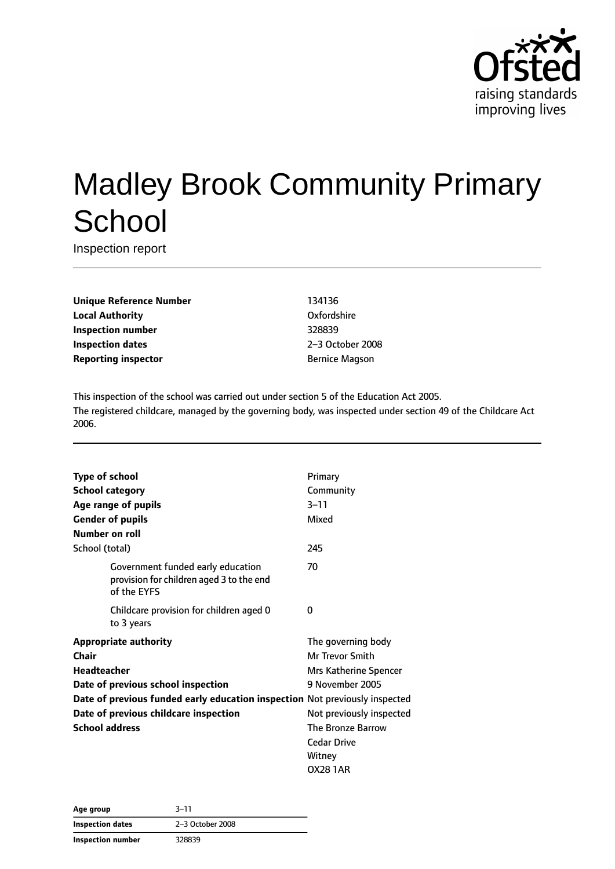

# Madley Brook Community Primary **School**

Inspection report

**Unique Reference Number** 134136 **Local Authority COMPOSE COMPOSE COMPOSE CONFORMITY Oxfordshire Inspection number** 328839 **Inspection dates** 2–3 October 2008 **Reporting inspector Bernice Magson** 

This inspection of the school was carried out under section 5 of the Education Act 2005. The registered childcare, managed by the governing body, was inspected under section 49 of the Childcare Act 2006.

| <b>Type of school</b>                                                       |                                                                                              | Primary                  |
|-----------------------------------------------------------------------------|----------------------------------------------------------------------------------------------|--------------------------|
| <b>School category</b>                                                      |                                                                                              | Community                |
|                                                                             | Age range of pupils                                                                          | $3 - 11$                 |
|                                                                             | <b>Gender of pupils</b>                                                                      | Mixed                    |
| Number on roll                                                              |                                                                                              |                          |
| School (total)                                                              |                                                                                              | 245                      |
|                                                                             | Government funded early education<br>provision for children aged 3 to the end<br>of the EYFS | 70                       |
|                                                                             | Childcare provision for children aged 0<br>to 3 years                                        | 0                        |
|                                                                             | <b>Appropriate authority</b>                                                                 | The governing body       |
| Chair                                                                       |                                                                                              | Mr Trevor Smith          |
| Headteacher                                                                 |                                                                                              | Mrs Katherine Spencer    |
| Date of previous school inspection                                          |                                                                                              | 9 November 2005          |
| Date of previous funded early education inspection Not previously inspected |                                                                                              |                          |
|                                                                             | Date of previous childcare inspection                                                        | Not previously inspected |
| <b>School address</b>                                                       |                                                                                              | The Bronze Barrow        |
|                                                                             |                                                                                              | <b>Cedar Drive</b>       |
|                                                                             |                                                                                              | Witney                   |
|                                                                             |                                                                                              | <b>OX28 1AR</b>          |

| Age group         | $3 - 11$         |
|-------------------|------------------|
| Inspection dates  | 2-3 October 2008 |
| Inspection number | 328839           |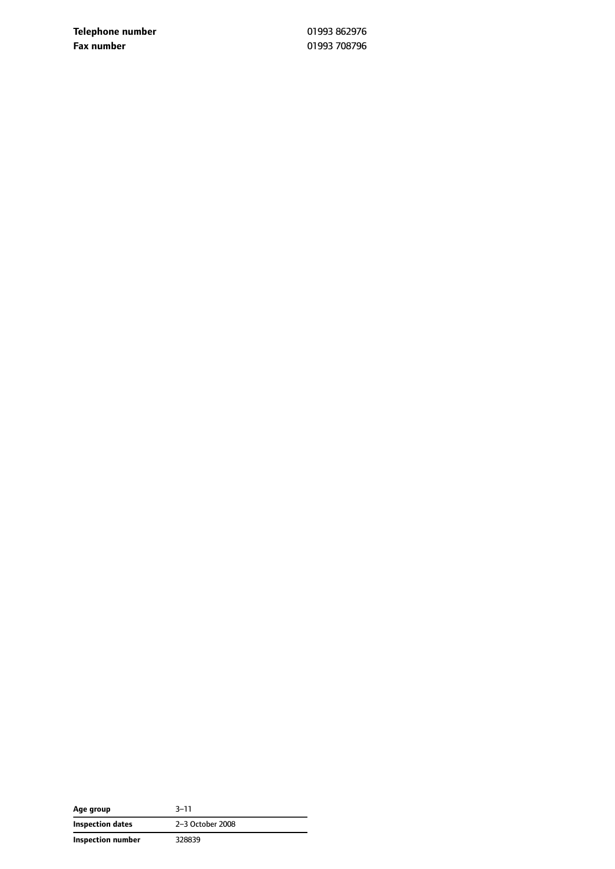**Telephone number** 01993 862976 **Fax number** 01993 708796

| Age group         | $3 - 11$         |
|-------------------|------------------|
| Inspection dates  | 2-3 October 2008 |
| Inspection number | 328839           |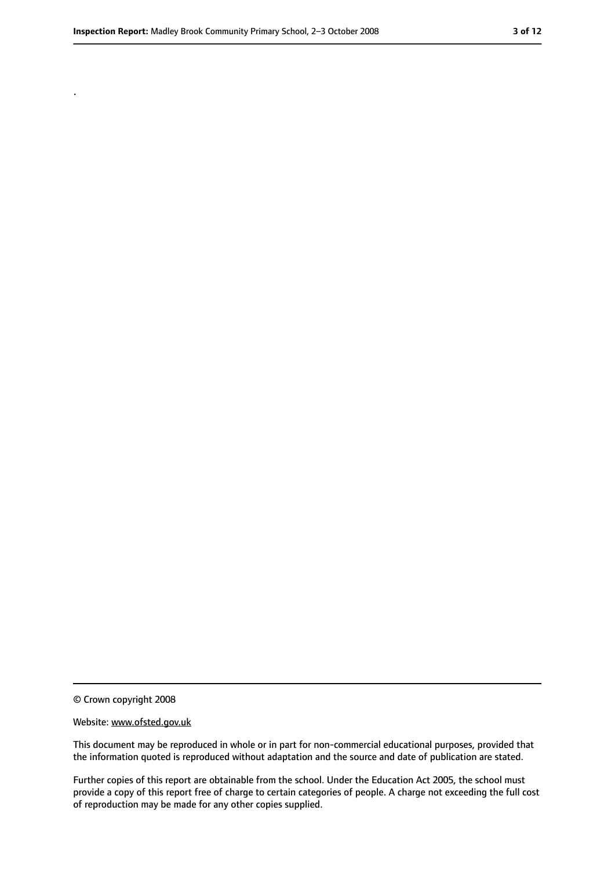.

<sup>©</sup> Crown copyright 2008

Website: www.ofsted.gov.uk

This document may be reproduced in whole or in part for non-commercial educational purposes, provided that the information quoted is reproduced without adaptation and the source and date of publication are stated.

Further copies of this report are obtainable from the school. Under the Education Act 2005, the school must provide a copy of this report free of charge to certain categories of people. A charge not exceeding the full cost of reproduction may be made for any other copies supplied.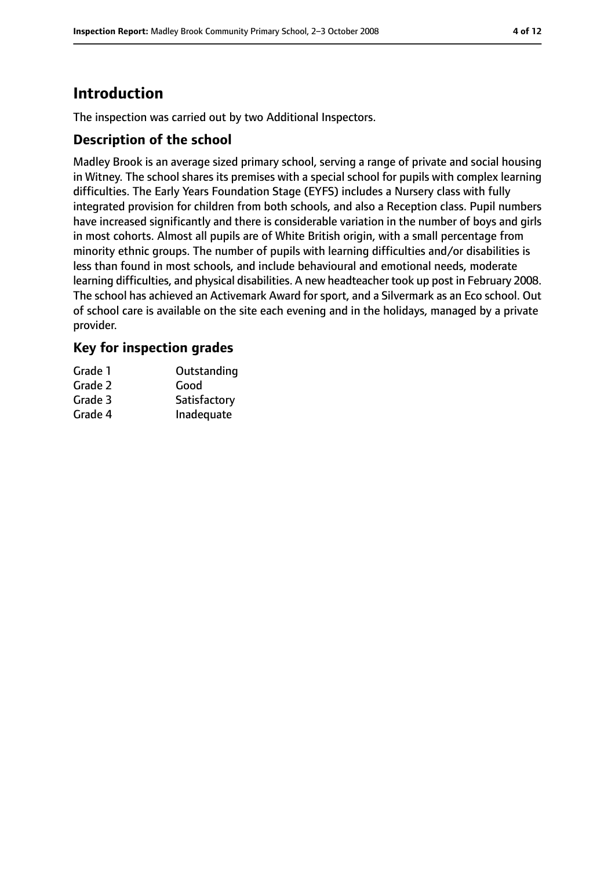# **Introduction**

The inspection was carried out by two Additional Inspectors.

#### **Description of the school**

Madley Brook is an average sized primary school, serving a range of private and social housing in Witney. The school shares its premises with a special school for pupils with complex learning difficulties. The Early Years Foundation Stage (EYFS) includes a Nursery class with fully integrated provision for children from both schools, and also a Reception class. Pupil numbers have increased significantly and there is considerable variation in the number of boys and girls in most cohorts. Almost all pupils are of White British origin, with a small percentage from minority ethnic groups. The number of pupils with learning difficulties and/or disabilities is less than found in most schools, and include behavioural and emotional needs, moderate learning difficulties, and physical disabilities. A new headteacher took up post in February 2008. The school has achieved an Activemark Award for sport, and a Silvermark as an Eco school. Out of school care is available on the site each evening and in the holidays, managed by a private provider.

#### **Key for inspection grades**

| Grade 1 | Outstanding  |
|---------|--------------|
| Grade 2 | Good         |
| Grade 3 | Satisfactory |
| Grade 4 | Inadequate   |
|         |              |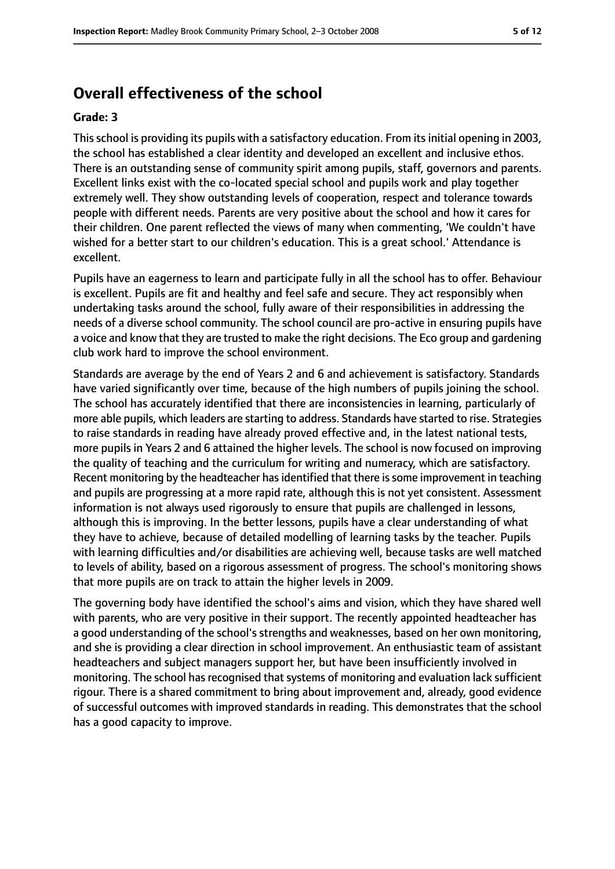## **Overall effectiveness of the school**

#### **Grade: 3**

This school is providing its pupils with a satisfactory education. From its initial opening in 2003, the school has established a clear identity and developed an excellent and inclusive ethos. There is an outstanding sense of community spirit among pupils, staff, governors and parents. Excellent links exist with the co-located special school and pupils work and play together extremely well. They show outstanding levels of cooperation, respect and tolerance towards people with different needs. Parents are very positive about the school and how it cares for their children. One parent reflected the views of many when commenting, 'We couldn't have wished for a better start to our children's education. This is a great school.' Attendance is excellent.

Pupils have an eagerness to learn and participate fully in all the school has to offer. Behaviour is excellent. Pupils are fit and healthy and feel safe and secure. They act responsibly when undertaking tasks around the school, fully aware of their responsibilities in addressing the needs of a diverse school community. The school council are pro-active in ensuring pupils have a voice and know that they are trusted to make the right decisions. The Eco group and gardening club work hard to improve the school environment.

Standards are average by the end of Years 2 and 6 and achievement is satisfactory. Standards have varied significantly over time, because of the high numbers of pupils joining the school. The school has accurately identified that there are inconsistencies in learning, particularly of more able pupils, which leaders are starting to address. Standards have started to rise. Strategies to raise standards in reading have already proved effective and, in the latest national tests, more pupils in Years 2 and 6 attained the higher levels. The school is now focused on improving the quality of teaching and the curriculum for writing and numeracy, which are satisfactory. Recent monitoring by the headteacher has identified that there is some improvement in teaching and pupils are progressing at a more rapid rate, although this is not yet consistent. Assessment information is not always used rigorously to ensure that pupils are challenged in lessons, although this is improving. In the better lessons, pupils have a clear understanding of what they have to achieve, because of detailed modelling of learning tasks by the teacher. Pupils with learning difficulties and/or disabilities are achieving well, because tasks are well matched to levels of ability, based on a rigorous assessment of progress. The school's monitoring shows that more pupils are on track to attain the higher levels in 2009.

The governing body have identified the school's aims and vision, which they have shared well with parents, who are very positive in their support. The recently appointed headteacher has a good understanding of the school's strengths and weaknesses, based on her own monitoring, and she is providing a clear direction in school improvement. An enthusiastic team of assistant headteachers and subject managers support her, but have been insufficiently involved in monitoring. The school has recognised that systems of monitoring and evaluation lack sufficient rigour. There is a shared commitment to bring about improvement and, already, good evidence of successful outcomes with improved standards in reading. This demonstrates that the school has a good capacity to improve.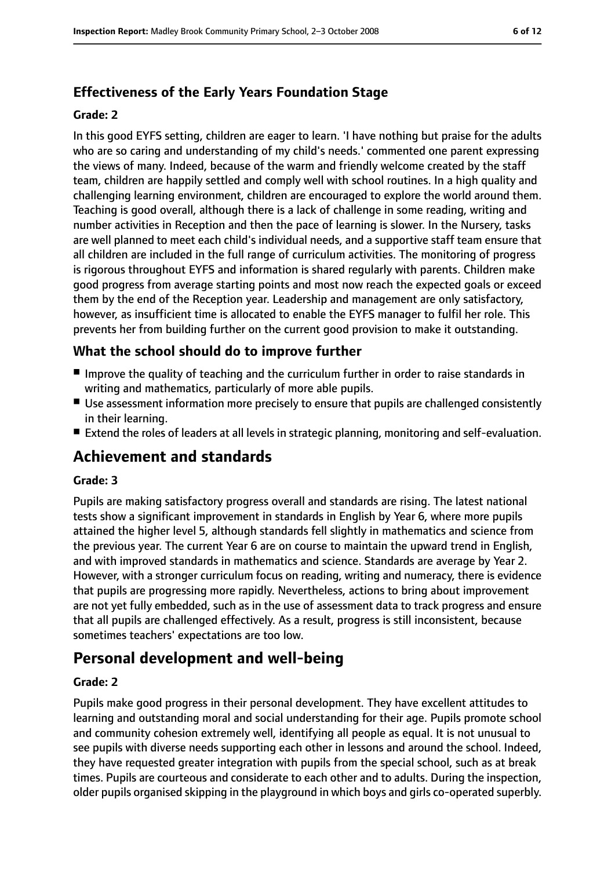## **Effectiveness of the Early Years Foundation Stage**

#### **Grade: 2**

In this good EYFS setting, children are eager to learn. 'I have nothing but praise for the adults who are so caring and understanding of my child's needs.' commented one parent expressing the views of many. Indeed, because of the warm and friendly welcome created by the staff team, children are happily settled and comply well with school routines. In a high quality and challenging learning environment, children are encouraged to explore the world around them. Teaching is good overall, although there is a lack of challenge in some reading, writing and number activities in Reception and then the pace of learning is slower. In the Nursery, tasks are well planned to meet each child's individual needs, and a supportive staff team ensure that all children are included in the full range of curriculum activities. The monitoring of progress is rigorous throughout EYFS and information is shared regularly with parents. Children make good progress from average starting points and most now reach the expected goals or exceed them by the end of the Reception year. Leadership and management are only satisfactory, however, as insufficient time is allocated to enable the EYFS manager to fulfil her role. This prevents her from building further on the current good provision to make it outstanding.

### **What the school should do to improve further**

- Improve the quality of teaching and the curriculum further in order to raise standards in writing and mathematics, particularly of more able pupils.
- Use assessment information more precisely to ensure that pupils are challenged consistently in their learning.
- Extend the roles of leaders at all levels in strategic planning, monitoring and self-evaluation.

# **Achievement and standards**

#### **Grade: 3**

Pupils are making satisfactory progress overall and standards are rising. The latest national tests show a significant improvement in standards in English by Year 6, where more pupils attained the higher level 5, although standards fell slightly in mathematics and science from the previous year. The current Year 6 are on course to maintain the upward trend in English, and with improved standards in mathematics and science. Standards are average by Year 2. However, with a stronger curriculum focus on reading, writing and numeracy, there is evidence that pupils are progressing more rapidly. Nevertheless, actions to bring about improvement are not yet fully embedded, such as in the use of assessment data to track progress and ensure that all pupils are challenged effectively. As a result, progress is still inconsistent, because sometimes teachers' expectations are too low.

# **Personal development and well-being**

#### **Grade: 2**

Pupils make good progress in their personal development. They have excellent attitudes to learning and outstanding moral and social understanding for their age. Pupils promote school and community cohesion extremely well, identifying all people as equal. It is not unusual to see pupils with diverse needs supporting each other in lessons and around the school. Indeed, they have requested greater integration with pupils from the special school, such as at break times. Pupils are courteous and considerate to each other and to adults. During the inspection, older pupils organised skipping in the playground in which boys and girls co-operated superbly.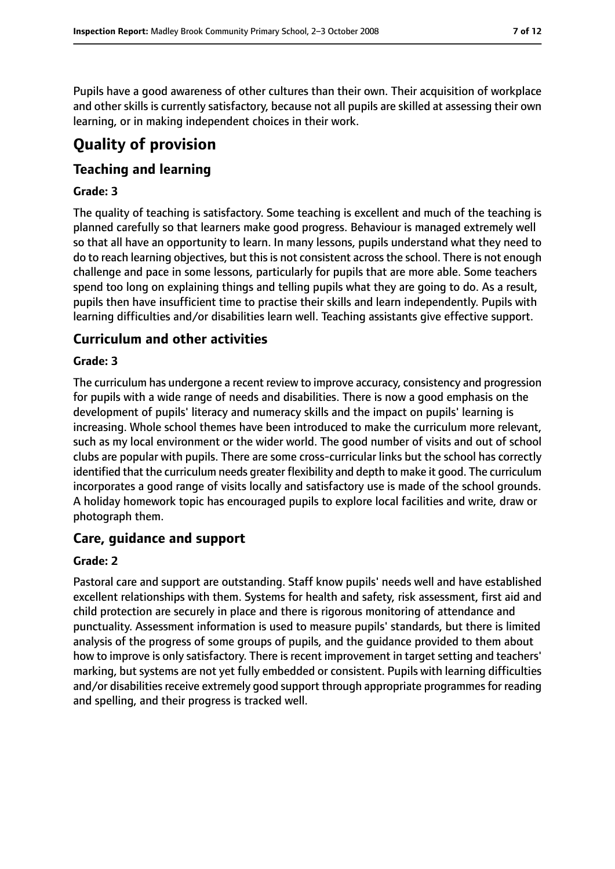Pupils have a good awareness of other cultures than their own. Their acquisition of workplace and other skills is currently satisfactory, because not all pupils are skilled at assessing their own learning, or in making independent choices in their work.

# **Quality of provision**

### **Teaching and learning**

#### **Grade: 3**

The quality of teaching is satisfactory. Some teaching is excellent and much of the teaching is planned carefully so that learners make good progress. Behaviour is managed extremely well so that all have an opportunity to learn. In many lessons, pupils understand what they need to do to reach learning objectives, but this is not consistent across the school. There is not enough challenge and pace in some lessons, particularly for pupils that are more able. Some teachers spend too long on explaining things and telling pupils what they are going to do. As a result, pupils then have insufficient time to practise their skills and learn independently. Pupils with learning difficulties and/or disabilities learn well. Teaching assistants give effective support.

### **Curriculum and other activities**

#### **Grade: 3**

The curriculum has undergone a recent review to improve accuracy, consistency and progression for pupils with a wide range of needs and disabilities. There is now a good emphasis on the development of pupils' literacy and numeracy skills and the impact on pupils' learning is increasing. Whole school themes have been introduced to make the curriculum more relevant, such as my local environment or the wider world. The good number of visits and out of school clubs are popular with pupils. There are some cross-curricular links but the school has correctly identified that the curriculum needs greater flexibility and depth to make it good. The curriculum incorporates a good range of visits locally and satisfactory use is made of the school grounds. A holiday homework topic has encouraged pupils to explore local facilities and write, draw or photograph them.

#### **Care, guidance and support**

#### **Grade: 2**

Pastoral care and support are outstanding. Staff know pupils' needs well and have established excellent relationships with them. Systems for health and safety, risk assessment, first aid and child protection are securely in place and there is rigorous monitoring of attendance and punctuality. Assessment information is used to measure pupils' standards, but there is limited analysis of the progress of some groups of pupils, and the guidance provided to them about how to improve is only satisfactory. There is recent improvement in target setting and teachers' marking, but systems are not yet fully embedded or consistent. Pupils with learning difficulties and/or disabilities receive extremely good support through appropriate programmes for reading and spelling, and their progress is tracked well.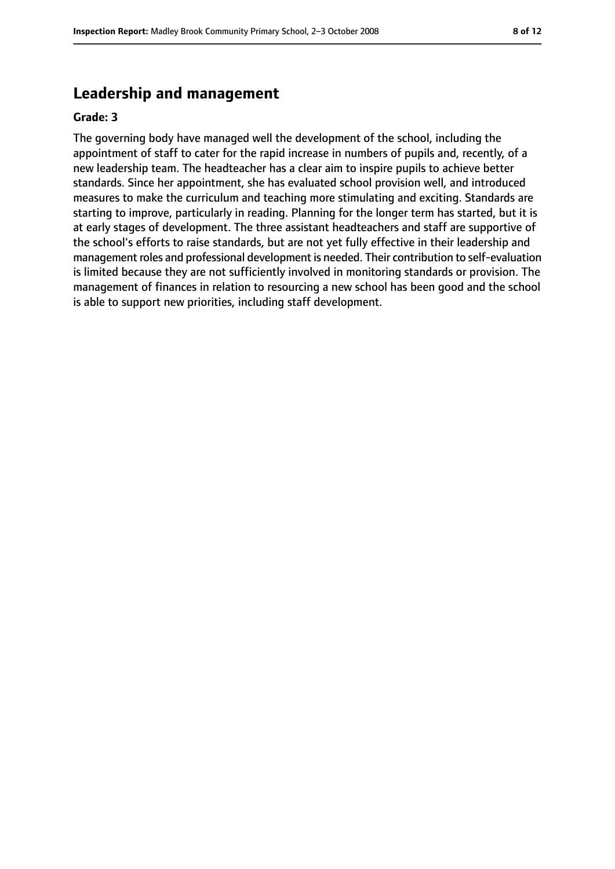## **Leadership and management**

#### **Grade: 3**

The governing body have managed well the development of the school, including the appointment of staff to cater for the rapid increase in numbers of pupils and, recently, of a new leadership team. The headteacher has a clear aim to inspire pupils to achieve better standards. Since her appointment, she has evaluated school provision well, and introduced measures to make the curriculum and teaching more stimulating and exciting. Standards are starting to improve, particularly in reading. Planning for the longer term has started, but it is at early stages of development. The three assistant headteachers and staff are supportive of the school's efforts to raise standards, but are not yet fully effective in their leadership and management roles and professional development is needed. Their contribution to self-evaluation is limited because they are not sufficiently involved in monitoring standards or provision. The management of finances in relation to resourcing a new school has been good and the school is able to support new priorities, including staff development.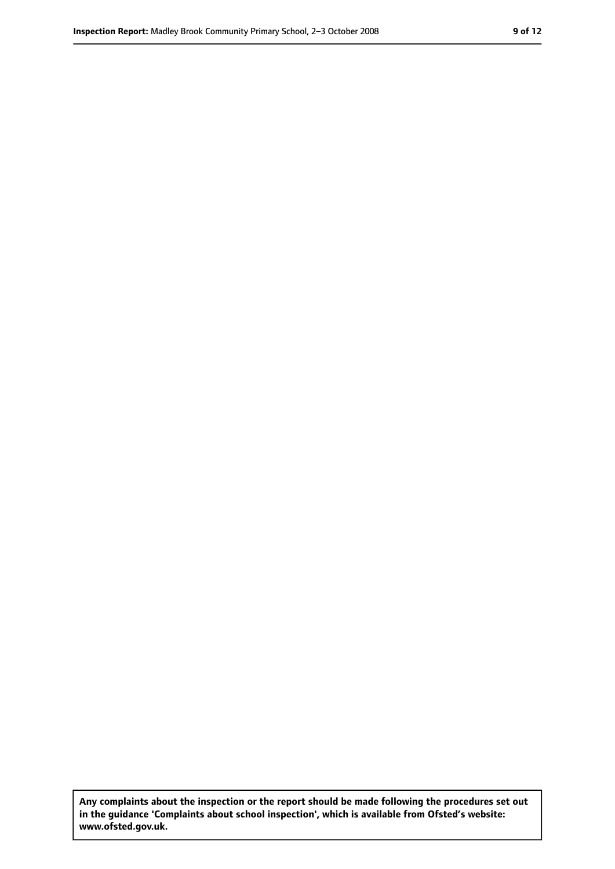**Any complaints about the inspection or the report should be made following the procedures set out in the guidance 'Complaints about school inspection', which is available from Ofsted's website: www.ofsted.gov.uk.**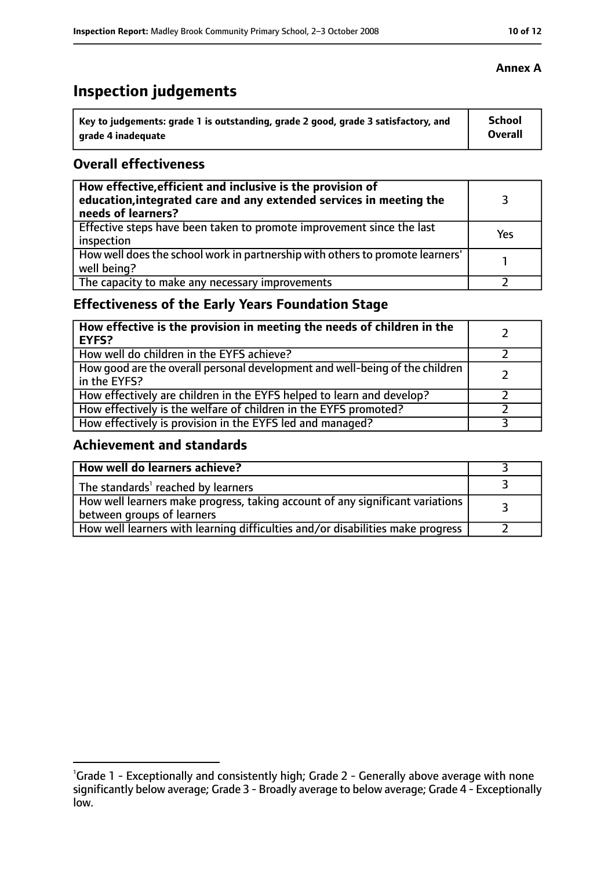# **Inspection judgements**

| Key to judgements: grade 1 is outstanding, grade 2 good, grade 3 satisfactory, and | <b>School</b> |
|------------------------------------------------------------------------------------|---------------|
| arade 4 inadequate                                                                 | Overall       |

#### **Overall effectiveness**

| How effective, efficient and inclusive is the provision of<br>education, integrated care and any extended services in meeting the<br>needs of learners? |     |
|---------------------------------------------------------------------------------------------------------------------------------------------------------|-----|
| Effective steps have been taken to promote improvement since the last<br>inspection                                                                     | Yes |
| How well does the school work in partnership with others to promote learners'<br>well being?                                                            |     |
| The capacity to make any necessary improvements                                                                                                         |     |

## **Effectiveness of the Early Years Foundation Stage**

| How effective is the provision in meeting the needs of children in the<br><b>EYFS?</b>       |  |
|----------------------------------------------------------------------------------------------|--|
| How well do children in the EYFS achieve?                                                    |  |
| How good are the overall personal development and well-being of the children<br>in the EYFS? |  |
| How effectively are children in the EYFS helped to learn and develop?                        |  |
| How effectively is the welfare of children in the EYFS promoted?                             |  |
| How effectively is provision in the EYFS led and managed?                                    |  |

### **Achievement and standards**

| How well do learners achieve?                                                                               |  |
|-------------------------------------------------------------------------------------------------------------|--|
| The standards <sup>1</sup> reached by learners                                                              |  |
| How well learners make progress, taking account of any significant variations<br>between groups of learners |  |
| How well learners with learning difficulties and/or disabilities make progress                              |  |

#### **Annex A**

<sup>&</sup>lt;sup>1</sup>Grade 1 - Exceptionally and consistently high; Grade 2 - Generally above average with none significantly below average; Grade 3 - Broadly average to below average; Grade 4 - Exceptionally low.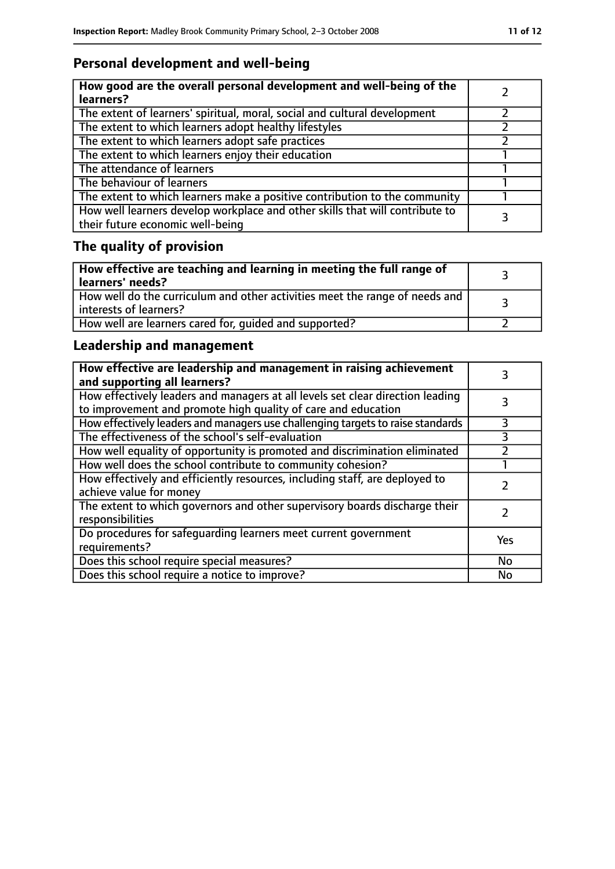# **Personal development and well-being**

| How good are the overall personal development and well-being of the<br>learners?                                 |  |
|------------------------------------------------------------------------------------------------------------------|--|
| The extent of learners' spiritual, moral, social and cultural development                                        |  |
| The extent to which learners adopt healthy lifestyles                                                            |  |
| The extent to which learners adopt safe practices                                                                |  |
| The extent to which learners enjoy their education                                                               |  |
| The attendance of learners                                                                                       |  |
| The behaviour of learners                                                                                        |  |
| The extent to which learners make a positive contribution to the community                                       |  |
| How well learners develop workplace and other skills that will contribute to<br>their future economic well-being |  |

# **The quality of provision**

| How effective are teaching and learning in meeting the full range of<br>learners' needs?              |  |
|-------------------------------------------------------------------------------------------------------|--|
| How well do the curriculum and other activities meet the range of needs and<br>interests of learners? |  |
| How well are learners cared for, quided and supported?                                                |  |

## **Leadership and management**

| How effective are leadership and management in raising achievement<br>and supporting all learners?                                              |     |
|-------------------------------------------------------------------------------------------------------------------------------------------------|-----|
| How effectively leaders and managers at all levels set clear direction leading<br>to improvement and promote high quality of care and education |     |
| How effectively leaders and managers use challenging targets to raise standards                                                                 | 3   |
| The effectiveness of the school's self-evaluation                                                                                               | 3   |
| How well equality of opportunity is promoted and discrimination eliminated                                                                      |     |
| How well does the school contribute to community cohesion?                                                                                      |     |
| How effectively and efficiently resources, including staff, are deployed to<br>achieve value for money                                          |     |
| The extent to which governors and other supervisory boards discharge their<br>responsibilities                                                  |     |
| Do procedures for safequarding learners meet current government<br>requirements?                                                                | Yes |
| Does this school require special measures?                                                                                                      | No  |
| Does this school require a notice to improve?                                                                                                   | No  |